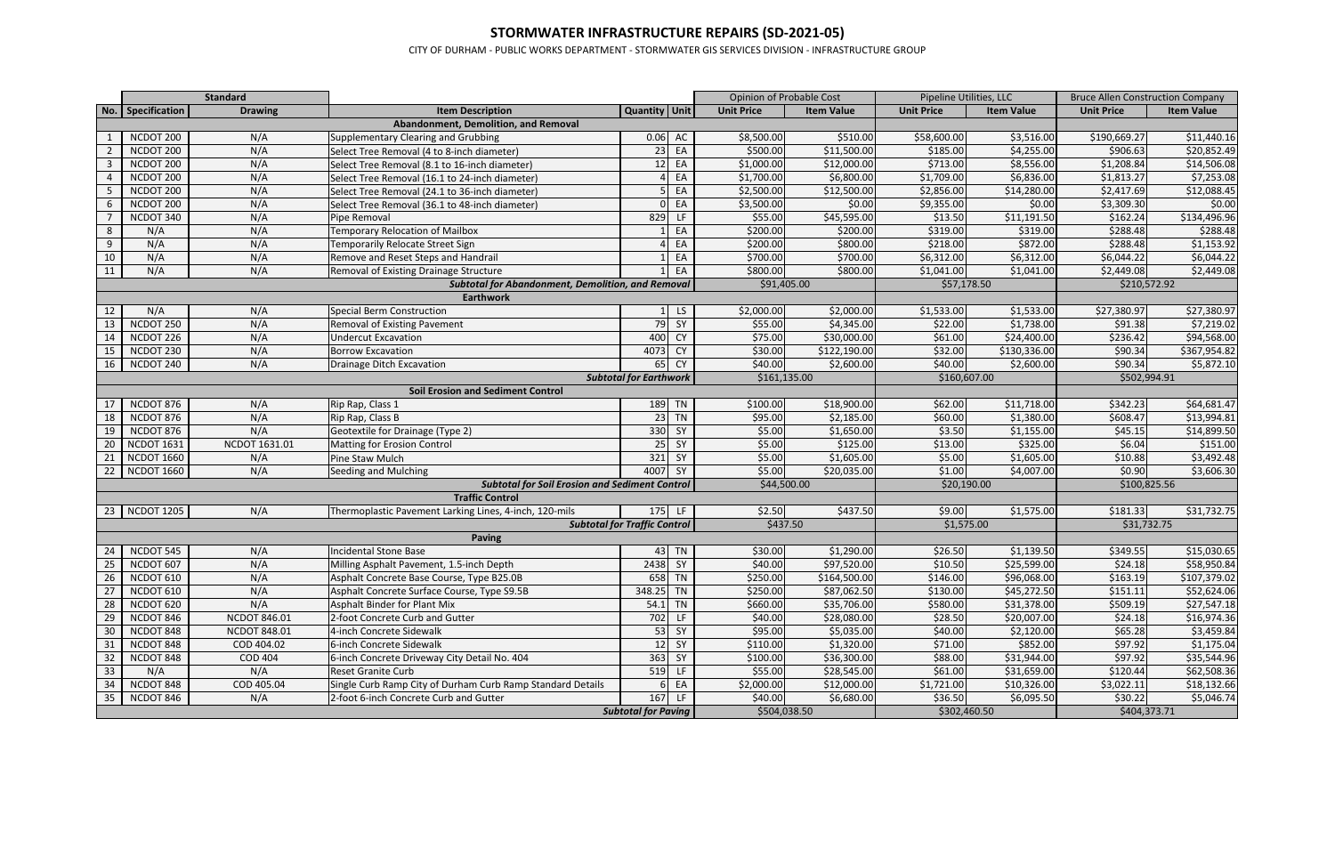## **STORMWATER INFRASTRUCTURE REPAIRS (SD-2021-05)**

CITY OF DURHAM - PUBLIC WORKS DEPARTMENT - STORMWATER GIS SERVICES DIVISION - INFRASTRUCTURE GROUP

|    |                   | <b>Standard</b>     |                                                            |                                     |           |                   | <b>Opinion of Probable Cost</b> |                   | Pipeline Utilities, LLC |                   | <b>Bruce Allen Construction Company</b> |
|----|-------------------|---------------------|------------------------------------------------------------|-------------------------------------|-----------|-------------------|---------------------------------|-------------------|-------------------------|-------------------|-----------------------------------------|
|    | No. Specification | <b>Drawing</b>      | <b>Item Description</b>                                    | Quantity Unit                       |           | <b>Unit Price</b> | <b>Item Value</b>               | <b>Unit Price</b> | <b>Item Value</b>       | <b>Unit Price</b> | <b>Item Value</b>                       |
|    |                   |                     | Abandonment, Demolition, and Removal                       |                                     |           |                   |                                 |                   |                         |                   |                                         |
|    | NCDOT 200         | N/A                 | Supplementary Clearing and Grubbing                        | 0.06                                | AC        | \$8,500.00        | \$510.00                        | \$58,600.00       | \$3,516.00              | \$190,669.27      | \$11,440.16                             |
|    | NCDOT 200         | N/A                 | Select Tree Removal (4 to 8-inch diameter)                 | 23                                  | EA        | \$500.00          | \$11,500.00                     | \$185.00          | \$4,255.00              | \$906.63          | \$20,852.49                             |
|    | NCDOT 200         | N/A                 | Select Tree Removal (8.1 to 16-inch diameter)              | 12                                  | EA        | \$1,000.00        | \$12,000.00                     | \$713.00          | \$8,556.00              | \$1,208.84        | \$14,506.08                             |
|    | NCDOT 200         | N/A                 | Select Tree Removal (16.1 to 24-inch diameter)             |                                     | EA        | \$1,700.00        | \$6,800.00                      | \$1,709.00        | \$6,836.00              | \$1,813.27        | \$7,253.08                              |
|    | NCDOT 200         | N/A                 | Select Tree Removal (24.1 to 36-inch diameter)             |                                     | EA        | \$2,500.00        | \$12,500.00                     | \$2,856.00        | \$14,280.00             | \$2,417.69        | \$12,088.45                             |
| 6  | NCDOT 200         | N/A                 | Select Tree Removal (36.1 to 48-inch diameter)             |                                     | EA        | \$3,500.00        | \$0.00                          | \$9,355.00        | \$0.00                  | \$3,309.30        | \$0.00                                  |
|    | NCDOT 340         | N/A                 | Pipe Removal                                               | 829                                 | LF.       | \$55.00           | $\overline{$45,595.00}$         | \$13.50           | \$11,191.50             | \$162.24          | \$134,496.96                            |
| 8  | N/A               | N/A                 | <b>Temporary Relocation of Mailbox</b>                     |                                     | EA        | \$200.00          | \$200.00                        | \$319.00          | \$319.00                | \$288.48          | \$288.48                                |
| 9  | N/A               | N/A                 | Temporarily Relocate Street Sign                           |                                     | EA        | \$200.00          | \$800.00                        | \$218.00          | \$872.00                | \$288.48          | \$1,153.92                              |
| 10 | N/A               | N/A                 | Remove and Reset Steps and Handrail                        |                                     | EA        | \$700.00          | \$700.00                        | \$6,312.00        | \$6,312.00              | \$6,044.22        | \$6,044.22                              |
| 11 | N/A               | N/A                 | Removal of Existing Drainage Structure                     |                                     | EA        | \$800.00          | \$800.00                        | \$1,041.00        | \$1,041.00              | \$2,449.08        | \$2,449.08                              |
|    |                   |                     | <b>Subtotal for Abandonment, Demolition, and Removal</b>   |                                     |           | \$91,405.00       |                                 | \$57,178.50       |                         | \$210,572.92      |                                         |
|    |                   |                     | <b>Earthwork</b>                                           |                                     |           |                   |                                 |                   |                         |                   |                                         |
| 12 | N/A               | N/A                 | <b>Special Berm Construction</b>                           |                                     | LS        | \$2,000.00        | \$2,000.00                      | \$1,533.00        | \$1,533.00              | \$27,380.97       | \$27,380.97                             |
| 13 | NCDOT 250         | N/A                 | Removal of Existing Pavement                               | 79                                  | SY        | \$55.00           | \$4,345.00                      | \$22.00           | \$1,738.00              | \$91.38           | \$7,219.02                              |
| 14 | NCDOT 226         | N/A                 | <b>Undercut Excavation</b>                                 | 400                                 | <b>CY</b> | \$75.00           | \$30,000.00                     | \$61.00           | $\overline{$}24,400.00$ | \$236.42          | \$94,568.00                             |
| 15 | NCDOT 230         | N/A                 | <b>Borrow Excavation</b>                                   | 4073                                | <b>CY</b> | \$30.00           | \$122,190.00                    | \$32.00           | \$130,336.00            | \$90.34           | \$367,954.82                            |
| 16 | NCDOT 240         | N/A                 | Drainage Ditch Excavation                                  | 65                                  | <b>CY</b> | \$40.00           | \$2,600.00                      | \$40.00           | \$2,600.00              | \$90.34           | \$5,872.10                              |
|    |                   |                     |                                                            | <b>Subtotal for Earthwork</b>       |           | \$161,135.00      |                                 | \$160,607.00      |                         | \$502,994.91      |                                         |
|    |                   |                     | <b>Soil Erosion and Sediment Control</b>                   |                                     |           |                   |                                 |                   |                         |                   |                                         |
| 17 | NCDOT 876         | N/A                 | Rip Rap, Class 1                                           | 189 TN                              |           | \$100.00          | \$18,900.00                     | \$62.00           | \$11,718.00             | \$342.23          | \$64,681.47                             |
| 18 | NCDOT 876         | N/A                 | Rip Rap, Class B                                           | $23$ TN                             |           | \$95.00           | \$2,185.00                      | \$60.00           | \$1,380.00              | \$608.47          | \$13,994.81                             |
| 19 | NCDOT 876         | N/A                 | Geotextile for Drainage (Type 2)                           | 330                                 | SY        | \$5.00            | \$1,650.00                      | \$3.50            | \$1,155.00              | \$45.15           | \$14,899.50                             |
| 20 | NCDOT 1631        | NCDOT 1631.01       | Matting for Erosion Control                                | 25                                  | SY        | \$5.00            | \$125.00                        | \$13.00           | \$325.00                | \$6.04            | \$151.00                                |
| 21 | <b>NCDOT 1660</b> | N/A                 | Pine Staw Mulch                                            | 321                                 | SY        | \$5.00            | \$1,605.00                      | \$5.00            | \$1,605.00              | \$10.88           | \$3,492.48                              |
|    | 22   NCDOT 1660   | N/A                 | Seeding and Mulching                                       | 4007                                | SY        | \$5.00            | \$20,035.00                     | \$1.00            | \$4,007.00              | \$0.90            | \$3,606.30                              |
|    |                   |                     | <b>Subtotal for Soil Erosion and Sediment Control</b>      |                                     |           | \$44,500.00       |                                 | \$20,190.00       |                         | \$100,825.56      |                                         |
|    |                   |                     | <b>Traffic Control</b>                                     |                                     |           |                   |                                 |                   |                         |                   |                                         |
|    | 23   NCDOT 1205   | N/A                 | Thermoplastic Pavement Larking Lines, 4-inch, 120-mils     | 175 LF                              |           | \$2.50            | \$437.50                        | \$9.00            | \$1,575.00              | \$181.33          | \$31,732.75                             |
|    |                   |                     |                                                            | <b>Subtotal for Traffic Control</b> |           | \$437.50          |                                 | \$1,575.00        |                         | \$31,732.75       |                                         |
|    |                   |                     | <b>Paving</b>                                              |                                     |           |                   |                                 |                   |                         |                   |                                         |
| 24 | NCDOT 545         | N/A                 | <b>Incidental Stone Base</b>                               | 43 TN                               |           | \$30.00           | \$1,290.00                      | \$26.50           | \$1,139.50              | \$349.55          | \$15,030.65                             |
| 25 | NCDOT 607         | N/A                 | Milling Asphalt Pavement, 1.5-inch Depth                   | 2438                                | SY        | \$40.00           | \$97,520.00                     | \$10.50           | \$25,599.00             | \$24.18           | \$58,950.84                             |
|    | 26   NCDOT 610    | N/A                 | Asphalt Concrete Base Course, Type B25.0B                  | 658 TN                              |           | \$250.00          | \$164,500.00                    | \$146.00          | \$96,068.00             | \$163.19          | \$107,379.02                            |
| 27 | NCDOT 610         | N/A                 | Asphalt Concrete Surface Course, Type S9.5B                | 348.25 TN                           |           | \$250.00          | \$87,062.50                     | \$130.00          | \$45,272.50             | \$151.11          | \$52,624.06                             |
| 28 | NCDOT 620         | N/A                 | Asphalt Binder for Plant Mix                               | $54.1$ TN                           |           | \$660.00          | \$35,706.00                     | \$580.00          | \$31,378.00             | \$509.19          | \$27,547.18                             |
| 29 | NCDOT 846         | <b>NCDOT 846.01</b> | 2-foot Concrete Curb and Gutter                            | 702 LF                              |           | \$40.00           | \$28,080.00                     | \$28.50           | \$20,007.00             | \$24.18           | \$16,974.36                             |
| 30 | NCDOT 848         | <b>NCDOT 848.01</b> | 4-inch Concrete Sidewalk                                   | 53 SY                               |           | \$95.00           | \$5,035.00                      | \$40.00           | \$2,120.00              | \$65.28           | \$3,459.84                              |
| 31 | NCDOT 848         | COD 404.02          | 6-inch Concrete Sidewalk                                   | 12 SY                               |           | \$110.00          | \$1,320.00                      | \$71.00           | \$852.00                | \$97.92           | \$1,175.04                              |
| 32 | NCDOT 848         | <b>COD 404</b>      | 6-inch Concrete Driveway City Detail No. 404               | 363 SY                              |           | \$100.00          | \$36,300.00                     | \$88.00           | \$31,944.00             | \$97.92           | \$35,544.96                             |
| 33 | N/A               | N/A                 | Reset Granite Curb                                         | 519 LF                              |           | \$55.00           | \$28,545.00                     | \$61.00           | \$31,659.00             | \$120.44          | \$62,508.36                             |
| 34 | NCDOT 848         | COD 405.04          | Single Curb Ramp City of Durham Curb Ramp Standard Details | 6 EA                                |           | \$2,000.00        | \$12,000.00                     | \$1,721.00        | \$10,326.00             | \$3,022.11        | \$18,132.66                             |
| 35 | NCDOT 846         | N/A                 | 2-foot 6-inch Concrete Curb and Gutter                     | 167 LF                              |           | \$40.00           | \$6,680.00                      | \$36.50           | \$6,095.50              | \$30.22           | \$5,046.74                              |
|    |                   |                     |                                                            | <b>Subtotal for Paving</b>          |           | \$504,038.50      |                                 | \$302,460.50      |                         | \$404,373.71      |                                         |
|    |                   |                     |                                                            |                                     |           |                   |                                 |                   |                         |                   |                                         |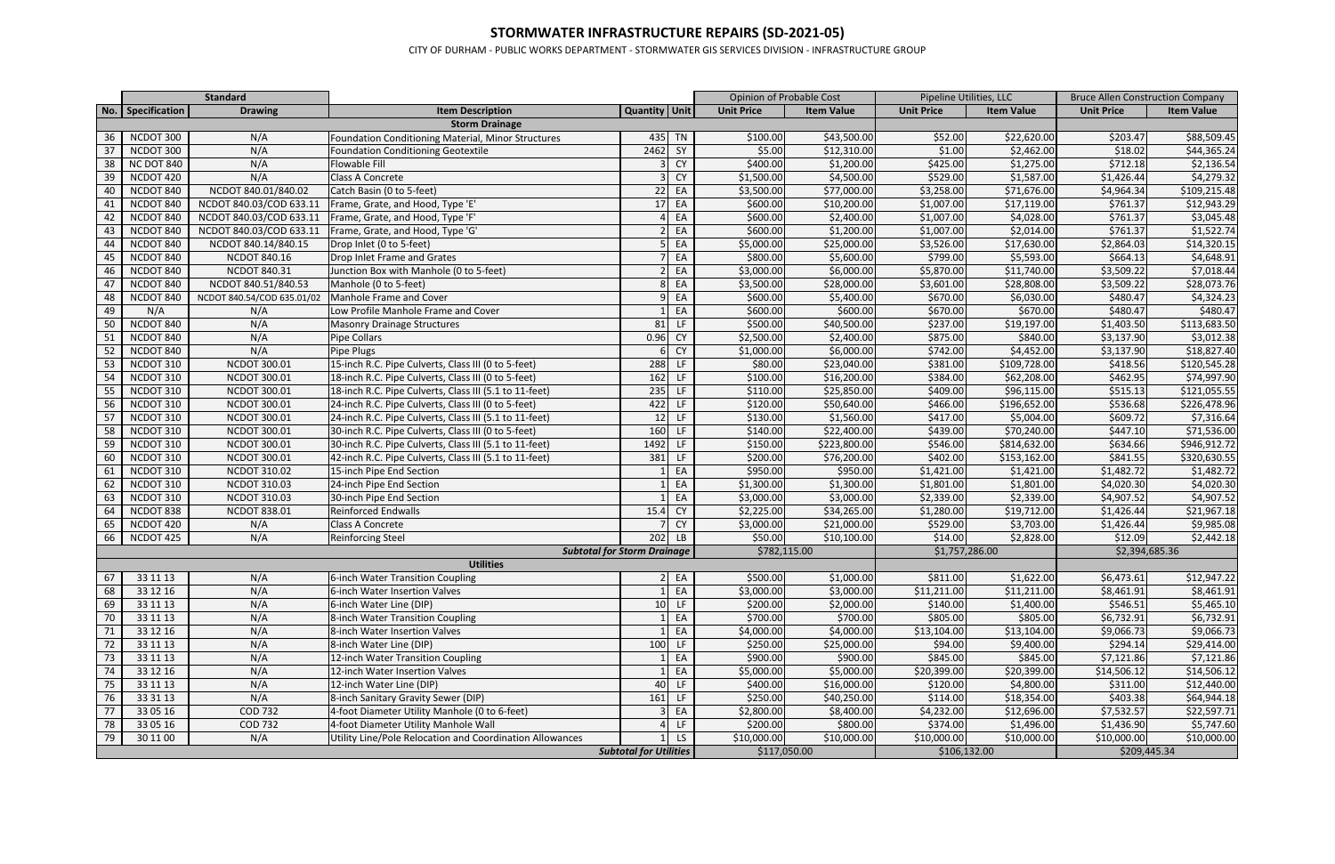## **STORMWATER INFRASTRUCTURE REPAIRS (SD-2021-05)**

CITY OF DURHAM - PUBLIC WORKS DEPARTMENT - STORMWATER GIS SERVICES DIVISION - INFRASTRUCTURE GROUP

|    |                                    | <b>Standard</b>            |                                                          |                               |                 | Opinion of Probable Cost |                   | Pipeline Utilities, LLC |                   | <b>Bruce Allen Construction Company</b> |                                                                                                                                                                |  |  |
|----|------------------------------------|----------------------------|----------------------------------------------------------|-------------------------------|-----------------|--------------------------|-------------------|-------------------------|-------------------|-----------------------------------------|----------------------------------------------------------------------------------------------------------------------------------------------------------------|--|--|
|    | No. Specification                  | <b>Drawing</b>             | <b>Item Description</b>                                  | Quantity Unit                 |                 | <b>Unit Price</b>        | <b>Item Value</b> | <b>Unit Price</b>       | <b>Item Value</b> | <b>Unit Price</b>                       | <b>Item Value</b>                                                                                                                                              |  |  |
|    |                                    |                            | <b>Storm Drainage</b>                                    |                               |                 |                          |                   |                         |                   |                                         |                                                                                                                                                                |  |  |
| 36 | NCDOT 300                          | N/A                        | Foundation Conditioning Material, Minor Structures       | 435 TN                        |                 | \$100.00                 | \$43,500.00       | \$52.00                 | \$22,620.00       | \$203.47                                | \$88,509.45                                                                                                                                                    |  |  |
| 37 | NCDOT 300                          | N/A                        | <b>Foundation Conditioning Geotextile</b>                | 2462 SY                       |                 | \$5.00                   | \$12,310.00       | \$1.00                  | \$2,462.00        | \$18.02                                 | \$44,365.24                                                                                                                                                    |  |  |
| 38 | <b>NC DOT 840</b>                  | N/A                        | <b>Flowable Fill</b>                                     |                               | <b>CY</b>       | \$400.00                 | \$1,200.00        | \$425.00                | \$1,275.00        | \$712.18                                | \$2,136.54                                                                                                                                                     |  |  |
| 39 | NCDOT 420                          | N/A                        | Class A Concrete                                         |                               | <b>CY</b>       | \$1,500.00               | \$4,500.00        | \$529.00                | \$1,587.00        | \$1,426.44                              | \$4,279.32                                                                                                                                                     |  |  |
| 40 | NCDOT 840                          | NCDOT 840.01/840.02        | Catch Basin (0 to 5-feet)                                | 22                            | EA              | \$3,500.00               | \$77,000.00       | \$3,258.00              | \$71,676.00       | $$4,964.\overline{34}$                  | \$109,215.48                                                                                                                                                   |  |  |
| 41 | NCDOT 840                          | NCDOT 840.03/COD 633.11    | Frame, Grate, and Hood, Type 'E'                         | 17 <sup>1</sup>               | EA              | \$600.00                 | \$10,200.00       | \$1,007.00              | \$17,119.00       | \$761.37                                | \$12,943.29                                                                                                                                                    |  |  |
| 42 | NCDOT 840                          | NCDOT 840.03/COD 633.11    | Frame, Grate, and Hood, Type 'F'                         |                               | EA              | \$600.00                 | \$2,400.00        | \$1,007.00              | \$4,028.00        | \$761.37                                | \$3,045.48                                                                                                                                                     |  |  |
| 43 | NCDOT 840                          | NCDOT 840.03/COD 633.11    | Frame, Grate, and Hood, Type 'G'                         |                               | EA              | \$600.00                 | \$1,200.00        | \$1,007.00              | \$2,014.00        | \$761.37                                | \$1,522.74                                                                                                                                                     |  |  |
| 44 | NCDOT 840                          | NCDOT 840.14/840.15        | Drop Inlet (0 to 5-feet)                                 |                               | EA              | \$5,000.00               | \$25,000.00       | \$3,526.00              | \$17,630.00       | \$2,864.03                              | \$14,320.15                                                                                                                                                    |  |  |
| 45 | NCDOT 840                          | <b>NCDOT 840.16</b>        | Drop Inlet Frame and Grates                              |                               | EA              | \$800.00                 | \$5,600.00        | \$799.00                | \$5,593.00        | \$664.13                                | \$4,648.91                                                                                                                                                     |  |  |
| 46 | NCDOT 840                          | NCDOT 840.31               | Junction Box with Manhole (0 to 5-feet)                  |                               | EA              | \$3,000.00               | \$6,000.00        | \$5,870.00              | \$11,740.00       | \$3,509.22                              | \$7,018.44                                                                                                                                                     |  |  |
| 47 | NCDOT 840                          | NCDOT 840.51/840.53        | Manhole (0 to 5-feet)                                    |                               | EA              | \$3,500.00               | \$28,000.00       | \$3,601.00              | \$28,808.00       | \$3,509.22                              | \$28,073.76                                                                                                                                                    |  |  |
| 48 | NCDOT 840                          | NCDOT 840.54/COD 635.01/02 | Manhole Frame and Cover                                  |                               | EA              | \$600.00                 | \$5,400.00        | \$670.00                | \$6,030.00        | \$480.47                                | \$4,324.23                                                                                                                                                     |  |  |
| 49 | N/A                                | N/A                        | Low Profile Manhole Frame and Cover                      |                               | EA              | \$600.00                 | \$600.00          | \$670.00                | \$670.00          | \$480.47                                | \$480.47                                                                                                                                                       |  |  |
| 50 | NCDOT 840                          | N/A                        | <b>Masonry Drainage Structures</b>                       | $81$ LF                       |                 | \$500.00                 | \$40,500.00       | \$237.00                | \$19,197.00       | \$1,403.50                              | \$113,683.50                                                                                                                                                   |  |  |
| 51 | NCDOT 840                          | N/A                        | <b>Pipe Collars</b>                                      | 0.96                          | <b>CY</b>       | \$2,500.00               | \$2,400.00        | \$875.00                | \$840.00          | \$3,137.90                              | \$3,012.38                                                                                                                                                     |  |  |
| 52 | NCDOT 840                          | N/A                        | Pipe Plugs                                               |                               | <b>CY</b>       | \$1,000.00               | \$6,000.00        | \$742.00                | \$4,452.00        | \$3,137.90                              | \$18,827.40                                                                                                                                                    |  |  |
| 53 | NCDOT 310                          | NCDOT 300.01               | 15-inch R.C. Pipe Culverts, Class III (0 to 5-feet)      | 288 LF                        |                 | \$80.00                  | \$23,040.00       | \$381.00                | \$109,728.00      | \$418.56                                | \$120,545.28                                                                                                                                                   |  |  |
| 54 | NCDOT 310                          | NCDOT 300.01               | 18-inch R.C. Pipe Culverts, Class III (0 to 5-feet)      | 162 LF                        |                 | \$100.00                 | \$16,200.00       | \$384.00                | \$62,208.00       | \$462.95                                | \$74,997.90                                                                                                                                                    |  |  |
| 55 | NCDOT 310                          | NCDOT 300.01               | 18-inch R.C. Pipe Culverts, Class III (5.1 to 11-feet)   | 235 LF                        |                 | \$110.00                 | \$25,850.00       | \$409.00                | \$96,115.00       | \$515.13                                | \$121,055.55                                                                                                                                                   |  |  |
| 56 | NCDOT 310                          | <b>NCDOT 300.01</b>        | 24-inch R.C. Pipe Culverts, Class III (0 to 5-feet)      | 422 LF                        |                 | \$120.00                 | \$50,640.00       | \$466.00                | \$196,652.00      | \$536.68                                | \$226,478.96                                                                                                                                                   |  |  |
| 57 | NCDOT 310                          | NCDOT 300.01               | 24-inch R.C. Pipe Culverts, Class III (5.1 to 11-feet)   | $12$ LF                       |                 | \$130.00                 | \$1,560.00        | \$417.00                | \$5,004.00        | \$609.72                                | \$7,316.64                                                                                                                                                     |  |  |
| 58 | NCDOT 310                          | NCDOT 300.01               | 30-inch R.C. Pipe Culverts, Class III (0 to 5-feet)      | 160 LF                        |                 | \$140.00                 | \$22,400.00       | \$439.00                | \$70,240.00       | \$447.10                                | \$71,536.00                                                                                                                                                    |  |  |
| 59 | NCDOT 310                          | NCDOT 300.01               | 30-inch R.C. Pipe Culverts, Class III (5.1 to 11-feet)   | 1492 LF                       |                 | \$150.00                 | \$223,800.00      | 5546.00                 | \$814,632.00      | \$634.66                                | \$946,912.72                                                                                                                                                   |  |  |
| 60 | NCDOT 310                          | NCDOT 300.01               | 42-inch R.C. Pipe Culverts, Class III (5.1 to 11-feet)   | 381 LF                        |                 | \$200.00                 | \$76,200.00       | \$402.00                | \$153,162.00      | \$841.55                                | \$320,630.55                                                                                                                                                   |  |  |
| 61 | NCDOT 310                          | <b>NCDOT 310.02</b>        | 15-inch Pipe End Section                                 |                               | EA              | \$950.00                 | \$950.00          | \$1,421.00              | \$1,421.00        | \$1,482.72                              | \$1,482.72                                                                                                                                                     |  |  |
| 62 | NCDOT 310                          | NCDOT 310.03               | 24-inch Pipe End Section                                 |                               | EA              | \$1,300.00               | \$1,300.00        | \$1,801.00              | \$1,801.00        | \$4,020.30                              | \$4,020.30                                                                                                                                                     |  |  |
| 63 | NCDOT 310                          | NCDOT 310.03               | 30-inch Pipe End Section                                 |                               | EA              | \$3,000.00               | \$3,000.00        | \$2,339.00              | \$2,339.00        | \$4,907.52                              | \$4,907.52                                                                                                                                                     |  |  |
| 64 | NCDOT 838                          | <b>NCDOT 838.01</b>        | Reinforced Endwalls                                      | 15.                           | <b>CY</b>       | \$2,225.00               | \$34,265.00       | \$1,280.00              | \$19,712.00       | \$1,426.44                              | \$21,967.18                                                                                                                                                    |  |  |
| 65 | NCDOT 420                          | N/A                        | Class A Concrete                                         |                               | <b>CY</b>       | \$3,000.00               | \$21,000.00       | \$529.00                | \$3,703.00        | \$1,426.44                              | \$9,985.08                                                                                                                                                     |  |  |
| 66 | NCDOT 425                          | N/A                        | <b>Reinforcing Steel</b>                                 | $202$ LB                      |                 | \$50.00                  | \$10,100.00       | \$14.00                 | \$2,828.00        | \$12.09                                 | \$2,442.18                                                                                                                                                     |  |  |
|    | <b>Subtotal for Storm Drainage</b> |                            |                                                          |                               |                 | \$782,115.00             |                   | \$1,757,286.00          |                   | \$2,394,685.36                          |                                                                                                                                                                |  |  |
|    |                                    |                            | <b>Utilities</b>                                         |                               |                 |                          |                   |                         |                   |                                         |                                                                                                                                                                |  |  |
| 67 | 33 11 13                           | N/A                        | 6-inch Water Transition Coupling                         |                               | $2$ EA          | \$500.00                 | \$1,000.00        | \$811.00                | \$1,622.00        | \$6,473.61                              | \$12,947.22                                                                                                                                                    |  |  |
| 68 | 33 12 16                           | N/A                        | 6-inch Water Insertion Valves                            |                               | EA              | \$3,000.00               | \$3,000.00        | \$11,211.00             | \$11,211.00       | \$8,461.91                              | \$8,461.91                                                                                                                                                     |  |  |
| 69 | 33 11 13                           | N/A                        | 6-inch Water Line (DIP)                                  | $10$ LF                       |                 | \$200.00                 | \$2,000.00        | \$140.00                | \$1,400.00        | \$546.51                                | \$5,465.10                                                                                                                                                     |  |  |
| 70 | 33 11 13                           | N/A                        | 8-inch Water Transition Coupling                         |                               | EA              | \$700.00                 | \$700.00          | \$805.00                | \$805.00          | \$6,732.91                              |                                                                                                                                                                |  |  |
| 71 | 33 12 16                           | N/A                        | 8-inch Water Insertion Valves                            |                               | EA              | \$4,000.00               | \$4,000.00        | \$13,104.00             | \$13,104.00       | \$9,066.73                              |                                                                                                                                                                |  |  |
| 72 | 33 11 13                           | N/A                        | 8-inch Water Line (DIP)                                  | 100                           | LF              | \$250.00                 | \$25,000.00       | \$94.00                 | \$9,400.00        | \$294.14                                |                                                                                                                                                                |  |  |
| 73 | 33 11 13                           | N/A                        | 12-inch Water Transition Coupling                        |                               | EA              | \$900.00                 | \$900.00          | \$845.00                | \$845.00          | \$7,121.86                              |                                                                                                                                                                |  |  |
| 74 | 33 12 16                           | N/A                        | 12-inch Water Insertion Valves                           |                               | EA              | \$5,000.00               | \$5,000.00        | \$20,399.00             | \$20,399.00       | \$14,506.12                             |                                                                                                                                                                |  |  |
| 75 | 33 11 13                           | N/A                        | 12-inch Water Line (DIP)                                 | 40 LF                         |                 | \$400.00                 | \$16,000.00       | \$120.00                | \$4,800.00        | \$311.00                                |                                                                                                                                                                |  |  |
| 76 | 33 31 13                           | N/A                        | 8-inch Sanitary Gravity Sewer (DIP)                      | $161$ LF                      |                 | \$250.00                 | \$40,250.00       | \$114.00                | \$18,354.00       | \$403.38                                |                                                                                                                                                                |  |  |
| 77 | 33 05 16                           | COD 732                    | 4-foot Diameter Utility Manhole (0 to 6-feet)            |                               | EA              | \$2,800.00               | \$8,400.00        | \$4,232.00              | \$12,696.00       | \$7,532.57                              |                                                                                                                                                                |  |  |
| 78 | 33 05 16                           | COD 732                    | 4-foot Diameter Utility Manhole Wall                     |                               | LF              | \$200.00                 | \$800.00          | \$374.00                | \$1,496.00        | \$1,436.90                              |                                                                                                                                                                |  |  |
| 79 | 30 11 00                           | N/A                        | Utility Line/Pole Relocation and Coordination Allowances |                               | LS <sub>1</sub> | \$10,000.00              | \$10,000.00       | \$10,000.00             | \$10,000.00       | \$10,000.00                             |                                                                                                                                                                |  |  |
|    |                                    |                            |                                                          | <b>Subtotal for Utilities</b> |                 | \$117,050.00             |                   |                         | \$106,132.00      |                                         | \$6,732.91<br>\$9,066.73<br>\$29,414.00<br>\$7,121.86<br>\$14,506.12<br>\$12,440.00<br>\$64,944.18<br>\$22,597.71<br>\$5,747.60<br>\$10,000.00<br>\$209,445.34 |  |  |